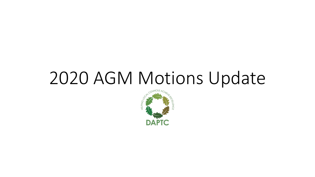# 2020 AGM Motions Update